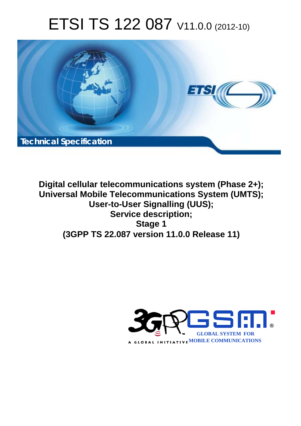# ETSI TS 122 087 V11.0.0 (2012-10)



**Digital cellular telecommunications system (Phase 2+); Universal Mobile Telecommunications System (UMTS); User-to-User Signalling (UUS); Service description; Stage 1 (3GPP TS 22.087 version 11.0.0 Release 11)** 

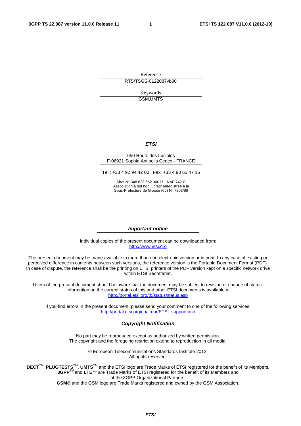Reference RTS/TSGS-0122087vb00

> Keywords GSM,UMTS

#### *ETSI*

#### 650 Route des Lucioles F-06921 Sophia Antipolis Cedex - FRANCE

Tel.: +33 4 92 94 42 00 Fax: +33 4 93 65 47 16

Siret N° 348 623 562 00017 - NAF 742 C Association à but non lucratif enregistrée à la Sous-Préfecture de Grasse (06) N° 7803/88

#### *Important notice*

Individual copies of the present document can be downloaded from: [http://www.etsi.org](http://www.etsi.org/)

The present document may be made available in more than one electronic version or in print. In any case of existing or perceived difference in contents between such versions, the reference version is the Portable Document Format (PDF). In case of dispute, the reference shall be the printing on ETSI printers of the PDF version kept on a specific network drive within ETSI Secretariat.

Users of the present document should be aware that the document may be subject to revision or change of status. Information on the current status of this and other ETSI documents is available at <http://portal.etsi.org/tb/status/status.asp>

If you find errors in the present document, please send your comment to one of the following services: [http://portal.etsi.org/chaircor/ETSI\\_support.asp](http://portal.etsi.org/chaircor/ETSI_support.asp)

#### *Copyright Notification*

No part may be reproduced except as authorized by written permission. The copyright and the foregoing restriction extend to reproduction in all media.

> © European Telecommunications Standards Institute 2012. All rights reserved.

DECT<sup>™</sup>, PLUGTESTS<sup>™</sup>, UMTS<sup>™</sup> and the ETSI logo are Trade Marks of ETSI registered for the benefit of its Members. **3GPP**TM and **LTE**™ are Trade Marks of ETSI registered for the benefit of its Members and of the 3GPP Organizational Partners.

**GSM**® and the GSM logo are Trade Marks registered and owned by the GSM Association.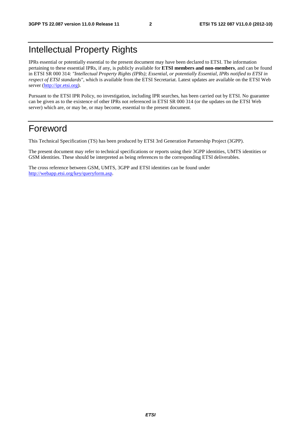## Intellectual Property Rights

IPRs essential or potentially essential to the present document may have been declared to ETSI. The information pertaining to these essential IPRs, if any, is publicly available for **ETSI members and non-members**, and can be found in ETSI SR 000 314: *"Intellectual Property Rights (IPRs); Essential, or potentially Essential, IPRs notified to ETSI in respect of ETSI standards"*, which is available from the ETSI Secretariat. Latest updates are available on the ETSI Web server ([http://ipr.etsi.org\)](http://webapp.etsi.org/IPR/home.asp).

Pursuant to the ETSI IPR Policy, no investigation, including IPR searches, has been carried out by ETSI. No guarantee can be given as to the existence of other IPRs not referenced in ETSI SR 000 314 (or the updates on the ETSI Web server) which are, or may be, or may become, essential to the present document.

## Foreword

This Technical Specification (TS) has been produced by ETSI 3rd Generation Partnership Project (3GPP).

The present document may refer to technical specifications or reports using their 3GPP identities, UMTS identities or GSM identities. These should be interpreted as being references to the corresponding ETSI deliverables.

The cross reference between GSM, UMTS, 3GPP and ETSI identities can be found under [http://webapp.etsi.org/key/queryform.asp.](http://webapp.etsi.org/key/queryform.asp)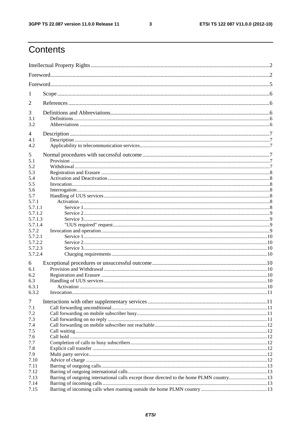$\mathbf{3}$ 

## Contents

| 1            |  |  |  |  |  |
|--------------|--|--|--|--|--|
| 2            |  |  |  |  |  |
| 3            |  |  |  |  |  |
| 3.1          |  |  |  |  |  |
| 3.2          |  |  |  |  |  |
| 4<br>4.1     |  |  |  |  |  |
| 4.2          |  |  |  |  |  |
| 5            |  |  |  |  |  |
| 5.1          |  |  |  |  |  |
| 5.2          |  |  |  |  |  |
| 5.3          |  |  |  |  |  |
| 5.4          |  |  |  |  |  |
| 5.5          |  |  |  |  |  |
| 5.6          |  |  |  |  |  |
| 5.7<br>5.7.1 |  |  |  |  |  |
| 5.7.1.1      |  |  |  |  |  |
| 5.7.1.2      |  |  |  |  |  |
| 5.7.1.3      |  |  |  |  |  |
| 5.7.1.4      |  |  |  |  |  |
| 5.7.2        |  |  |  |  |  |
| 5.7.2.1      |  |  |  |  |  |
| 5.7.2.2      |  |  |  |  |  |
| 5.7.2.3      |  |  |  |  |  |
| 5.7.2.4      |  |  |  |  |  |
| 6            |  |  |  |  |  |
| 6.1          |  |  |  |  |  |
| 6.2<br>6.3   |  |  |  |  |  |
| 6.3.1        |  |  |  |  |  |
| 6.3.2        |  |  |  |  |  |
|              |  |  |  |  |  |
| 7            |  |  |  |  |  |
| 7.1<br>7.2   |  |  |  |  |  |
| 7.3          |  |  |  |  |  |
| 7.4          |  |  |  |  |  |
| 7.5          |  |  |  |  |  |
| 7.6          |  |  |  |  |  |
| 7.7          |  |  |  |  |  |
| 7.8          |  |  |  |  |  |
| 7.9          |  |  |  |  |  |
| 7.10         |  |  |  |  |  |
| 7.11         |  |  |  |  |  |
| 7.12         |  |  |  |  |  |
| 7.13         |  |  |  |  |  |
| 7.14<br>7.15 |  |  |  |  |  |
|              |  |  |  |  |  |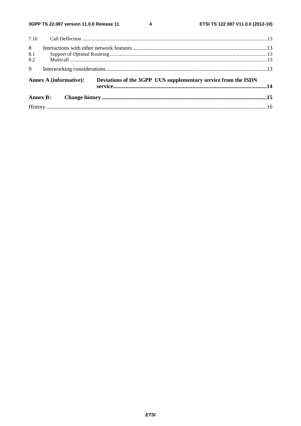$\overline{\mathbf{4}}$ 

| 8              |                        |                                                                |  |
|----------------|------------------------|----------------------------------------------------------------|--|
| 8.1            |                        |                                                                |  |
| 8.2            |                        |                                                                |  |
| $\overline{9}$ |                        |                                                                |  |
|                | Annex A (informative): | Deviations of the 3GPP UUS supplementary service from the ISDN |  |
|                |                        |                                                                |  |
|                |                        |                                                                |  |
|                |                        |                                                                |  |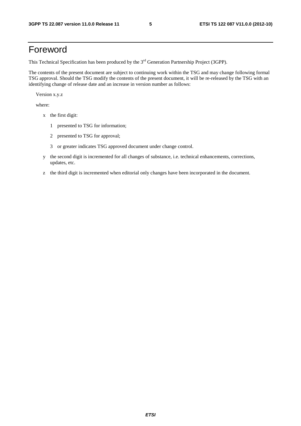## Foreword

This Technical Specification has been produced by the 3<sup>rd</sup> Generation Partnership Project (3GPP).

The contents of the present document are subject to continuing work within the TSG and may change following formal TSG approval. Should the TSG modify the contents of the present document, it will be re-released by the TSG with an identifying change of release date and an increase in version number as follows:

Version x.y.z

where:

- x the first digit:
	- 1 presented to TSG for information;
	- 2 presented to TSG for approval;
	- 3 or greater indicates TSG approved document under change control.
- y the second digit is incremented for all changes of substance, i.e. technical enhancements, corrections, updates, etc.
- z the third digit is incremented when editorial only changes have been incorporated in the document.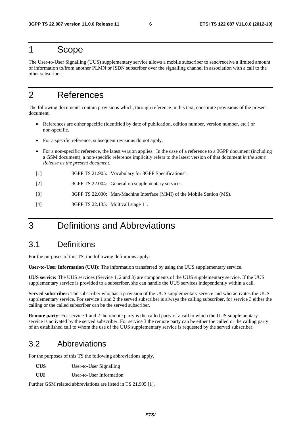### 1 Scope

The User-to-User Signalling (UUS) supplementary service allows a mobile subscriber to send/receive a limited amount of information to/from another PLMN or ISDN subscriber over the signalling channel in association with a call to the other subscriber.

## 2 References

The following documents contain provisions which, through reference in this text, constitute provisions of the present document.

- References are either specific (identified by date of publication, edition number, version number, etc.) or non-specific.
- For a specific reference, subsequent revisions do not apply.
- For a non-specific reference, the latest version applies. In the case of a reference to a 3GPP document (including a GSM document), a non-specific reference implicitly refers to the latest version of that document *in the same Release as the present document*.
- [1] 3GPP TS 21.905: "Vocabulary for 3GPP Specifications".
- [2] 3GPP TS 22.004: "General on supplementary services.
- [3] 3GPP TS 22.030: "Man-Machine Interface (MMI) of the Mobile Station (MS).
- [4] 3GPP TS 22.135: "Multicall stage 1".

## 3 Definitions and Abbreviations

#### 3.1 Definitions

For the purposes of this TS, the following definitions apply:

**User-to-User Information (UUI):** The information transferred by using the UUS supplementary service.

**UUS service:** The UUS services (Service 1, 2 and 3) are components of the UUS supplementary service. If the UUS supplementary service is provided to a subscriber, she can handle the UUS services independently within a call.

**Served subscriber:** The subscriber who has a provision of the UUS supplementary service and who activates the UUS supplementary service. For service 1 and 2 the served subscriber is always the calling subscriber, for service 3 either the calling or the called subscriber can be the served subscriber.

**Remote party:** For service 1 and 2 the remote party is the called party of a call to which the UUS supplementary service is activated by the served subscriber. For service 3 the remote party can be either the called or the calling party of an established call to whom the use of the UUS supplementary service is requested by the served subscriber.

#### 3.2 Abbreviations

For the purposes of this TS the following abbreviations apply.

**UUS** User-to-User Signalling

**UUI** User-to-User Information

Further GSM related abbreviations are listed in TS 21.905 [1].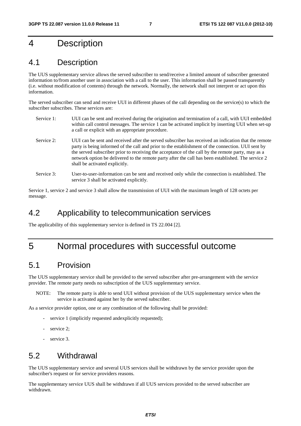## 4 Description

### 4.1 Description

The UUS supplementary service allows the served subscriber to send/receive a limited amount of subscriber generated information to/from another user in association with a call to the user. This information shall be passed transparently (i.e. without modification of contents) through the network. Normally, the network shall not interpret or act upon this information.

The served subscriber can send and receive UUI in different phases of the call depending on the service(s) to which the subscriber subscribes. These services are:

- Service 1: UUI can be sent and received during the origination and termination of a call, with UUI embedded within call control messages. The service 1 can be activated implicit by inserting UUI when set-up a call or explicit with an appropriate procedure. Service 2: UUI can be sent and received after the served subscriber has received an indication that the remote party is being informed of the call and prior to the establishment of the connection. UUI sent by the served subscriber prior to receiving the acceptance of the call by the remote party, may as a network option be delivered to the remote party after the call has been established. The service 2 shall be activated explicitly.
- Service 3: User-to-user-information can be sent and received only while the connection is established. The service 3 shall be activated explicitly.

Service 1, service 2 and service 3 shall allow the transmission of UUI with the maximum length of 128 octets per message.

#### 4.2 Applicability to telecommunication services

The applicability of this supplementary service is defined in TS 22.004 [2].

## 5 Normal procedures with successful outcome

#### 5.1 Provision

The UUS supplementary service shall be provided to the served subscriber after pre-arrangement with the service provider. The remote party needs no subscription of the UUS supplementary service.

NOTE: The remote party is able to send UUI without provision of the UUS supplementary service when the service is activated against her by the served subscriber.

As a service provider option, one or any combination of the following shall be provided:

- service 1 (implicitly requested andexplicitly requested);
- service 2;
- service 3.

#### 5.2 Withdrawal

The UUS supplementary service and several UUS services shall be withdrawn by the service provider upon the subscriber's request or for service providers reasons.

The supplementary service UUS shall be withdrawn if all UUS services provided to the served subscriber are withdrawn.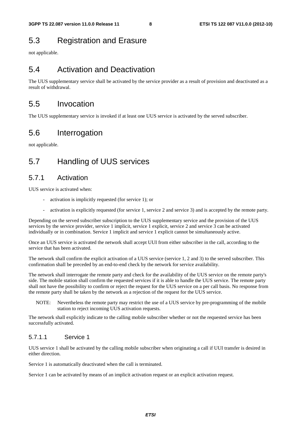## 5.3 Registration and Erasure

not applicable.

### 5.4 Activation and Deactivation

The UUS supplementary service shall be activated by the service provider as a result of provision and deactivated as a result of withdrawal.

#### 5.5 Invocation

The UUS supplementary service is invoked if at least one UUS service is activated by the served subscriber.

### 5.6 Interrogation

not applicable.

## 5.7 Handling of UUS services

#### 5.7.1 Activation

UUS service is activated when:

- activation is implicitly requested (for service 1); or
- activation is explicitly requested (for service 1, service 2 and service 3) and is accepted by the remote party.

Depending on the served subscriber subscription to the UUS supplementary service and the provision of the UUS services by the service provider, service 1 implicit, service 1 explicit, service 2 and service 3 can be activated individually or in combination. Service 1 implicit and service 1 explicit cannot be simultaneously active.

Once an UUS service is activated the network shall accept UUI from either subscriber in the call, according to the service that has been activated.

The network shall confirm the explicit activation of a UUS service (service 1, 2 and 3) to the served subscriber. This confirmation shall be preceded by an end-to-end check by the network for service availability.

The network shall interrogate the remote party and check for the availability of the UUS service on the remote party's side. The mobile station shall confirm the requested services if it is able to handle the UUS service. The remote party shall not have the possibility to confirm or reject the request for the UUS service on a per call basis. No response from the remote party shall be taken by the network as a rejection of the request for the UUS service.

NOTE: Nevertheless the remote party may restrict the use of a UUS service by pre-programming of the mobile station to reject incoming UUS activation requests.

The network shall explicitly indicate to the calling mobile subscriber whether or not the requested service has been successfully activated.

#### 5.7.1.1 Service 1

UUS service 1 shall be activated by the calling mobile subscriber when originating a call if UUI transfer is desired in either direction.

Service 1 is automatically deactivated when the call is terminated.

Service 1 can be activated by means of an implicit activation request or an explicit activation request.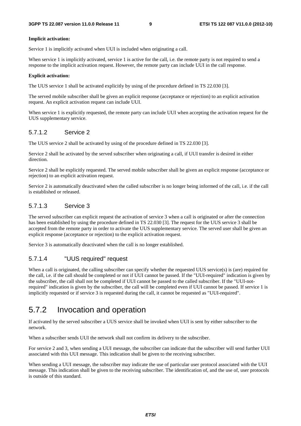#### **Implicit activation:**

Service 1 is implicitly activated when UUI is included when originating a call.

When service 1 is implicitly activated, service 1 is active for the call, i.e. the remote party is not required to send a response to the implicit activation request. However, the remote party can include UUI in the call response.

#### **Explicit activation:**

The UUS service 1 shall be activated explicitly by using of the procedure defined in TS 22.030 [3].

The served mobile subscriber shall be given an explicit response (acceptance or rejection) to an explicit activation request. An explicit activation request can include UUI.

When service 1 is explicitly requested, the remote party can include UUI when accepting the activation request for the UUS supplementary service.

#### 5.7.1.2 Service 2

The UUS service 2 shall be activated by using of the procedure defined in TS 22.030 [3].

Service 2 shall be activated by the served subscriber when originating a call, if UUI transfer is desired in either direction.

Service 2 shall be explicitly requested. The served mobile subscriber shall be given an explicit response (acceptance or rejection) to an explicit activation request.

Service 2 is automatically deactivated when the called subscriber is no longer being informed of the call, i.e. if the call is established or released.

#### 5.7.1.3 Service 3

The served subscriber can explicit request the activation of service 3 when a call is originated or after the connection has been established by using the procedure defined in TS 22.030 [3]. The request for the UUS service 3 shall be accepted from the remote party in order to activate the UUS supplementary service. The served user shall be given an explicit response (acceptance or rejection) to the explicit activation request.

Service 3 is automatically deactivated when the call is no longer established.

#### 5.7.1.4 "UUS required" request

When a call is originated, the calling subscriber can specify whether the requested UUS service(s) is (are) required for the call, i.e. if the call should be completed or not if UUI cannot be passed. If the "UUI-required" indication is given by the subscriber, the call shall not be completed if UUI cannot be passed to the called subscriber. If the "UUI-notrequired" indication is given by the subscriber, the call will be completed even if UUI cannot be passed. If service 1 is implicitly requested or if service 3 is requested during the call, it cannot be requested as "UUI-required".

#### 5.7.2 Invocation and operation

If activated by the served subscriber a UUS service shall be invoked when UUI is sent by either subscriber to the network.

When a subscriber sends UUI the network shall not confirm its delivery to the subscriber.

For service 2 and 3, when sending a UUI message, the subscriber can indicate that the subscriber will send further UUI associated with this UUI message. This indication shall be given to the receiving subscriber.

When sending a UUI message, the subscriber may indicate the use of particular user protocol associated with the UUI message. This indication shall be given to the receiving subscriber. The identification of, and the use of, user protocols is outside of this standard.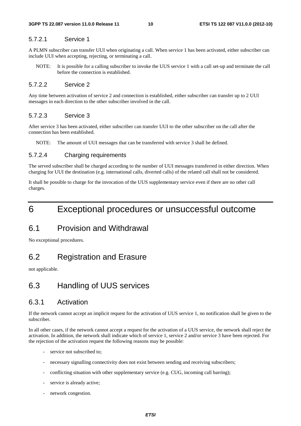#### 5.7.2.1 Service 1

A PLMN subscriber can transfer UUI when originating a call. When service 1 has been activated, either subscriber can include UUI when accepting, rejecting, or terminating a call.

NOTE: It is possible for a calling subscriber to invoke the UUS service 1 with a call set-up and terminate the call before the connection is established.

#### 5.7.2.2 Service 2

Any time between activation of service 2 and connection is established, either subscriber can transfer up to 2 UUI messages in each direction to the other subscriber involved in the call.

#### 5.7.2.3 Service 3

After service 3 has been activated, either subscriber can transfer UUI to the other subscriber on the call after the connection has been established.

NOTE: The amount of UUI messages that can be transferred with service 3 shall be defined.

#### 5.7.2.4 Charging requirements

The served subscriber shall be charged according to the number of UUI messages transferred in either direction. When charging for UUI the destination (e.g. international calls, diverted calls) of the related call shall not be considered.

It shall be possible to charge for the invocation of the UUS supplementary service even if there are no other call charges.

## 6 Exceptional procedures or unsuccessful outcome

#### 6.1 Provision and Withdrawal

No exceptional procedures.

#### 6.2 Registration and Erasure

not applicable.

#### 6.3 Handling of UUS services

#### 6.3.1 Activation

If the network cannot accept an implicit request for the activation of UUS service 1, no notification shall be given to the subscriber.

In all other cases, if the network cannot accept a request for the activation of a UUS service, the network shall reject the activation. In addition, the network shall indicate which of service 1, service 2 and/or service 3 have been rejected. For the rejection of the activation request the following reasons may be possible:

- service not subscribed to;
- necessary signalling connectivity does not exist between sending and receiving subscribers;
- conflicting situation with other supplementary service (e.g. CUG, incoming call barring);
- service is already active;
- network congestion.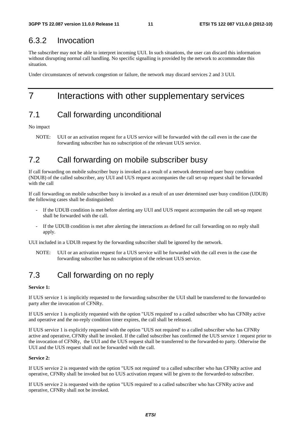### 6.3.2 Invocation

The subscriber may not be able to interpret incoming UUI. In such situations, the user can discard this information without disrupting normal call handling. No specific signalling is provided by the network to accommodate this situation.

Under circumstances of network congestion or failure, the network may discard services 2 and 3 UUI.

## 7 Interactions with other supplementary services

### 7.1 Call forwarding unconditional

No impact

NOTE: UUI or an activation request for a UUS service will be forwarded with the call even in the case the forwarding subscriber has no subscription of the relevant UUS service.

## 7.2 Call forwarding on mobile subscriber busy

If call forwarding on mobile subscriber busy is invoked as a result of a network determined user busy condition (NDUB) of the called subscriber, any UUI and UUS request accompanies the call set-up request shall be forwarded with the call

If call forwarding on mobile subscriber busy is invoked as a result of an user determined user busy condition (UDUB) the following cases shall be distinguished:

- If the UDUB condition is met before alerting any UUI and UUS request accompanies the call set-up request shall be forwarded with the call.
- If the UDUB condition is met after alerting the interactions as defined for call forwarding on no reply shall apply.

UUI included in a UDUB request by the forwarding subscriber shall be ignored by the network.

NOTE: UUI or an activation request for a UUS service will be forwarded with the call even in the case the forwarding subscriber has no subscription of the relevant UUS service.

## 7.3 Call forwarding on no reply

#### **Service 1:**

If UUS service 1 is implicitly requested to the forwarding subscriber the UUI shall be transferred to the forwarded-to party after the invocation of CFNRy.

If UUS service 1 is explicitly requested with the option "UUS required' to a called subscriber who has CFNRy active and operative and the no-reply condition timer expires, the call shall be released.

If UUS service 1 is explicitly requested with the option "UUS not required' to a called subscriber who has CFNRy active and operative, CFNRy shall be invoked. If the called subscriber has confirmed the UUS service 1 request prior to the invocation of CFNRy, the UUI and the UUS request shall be transferred to the forwarded-to party. Otherwise the UUI and the UUS request shall not be forwarded with the call.

#### **Service 2:**

If UUS service 2 is requested with the option "UUS not required' to a called subscriber who has CFNRy active and operative, CFNRy shall be invoked but no UUS activation request will be given to the forwarded-to subscriber.

If UUS service 2 is requested with the option "UUS required' to a called subscriber who has CFNRy active and operative, CFNRy shall not be invoked.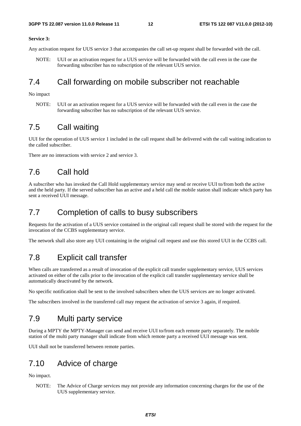#### **Service 3:**

Any activation request for UUS service 3 that accompanies the call set-up request shall be forwarded with the call.

NOTE: UUI or an activation request for a UUS service will be forwarded with the call even in the case the forwarding subscriber has no subscription of the relevant UUS service.

#### 7.4 Call forwarding on mobile subscriber not reachable

No impact

NOTE: UUI or an activation request for a UUS service will be forwarded with the call even in the case the forwarding subscriber has no subscription of the relevant UUS service.

### 7.5 Call waiting

UUI for the operation of UUS service 1 included in the call request shall be delivered with the call waiting indication to the called subscriber.

There are no interactions with service 2 and service 3.

### 7.6 Call hold

A subscriber who has invoked the Call Hold supplementary service may send or receive UUI to/from both the active and the held party. If the served subscriber has an active and a held call the mobile station shall indicate which party has sent a received UUI message.

#### 7.7 Completion of calls to busy subscribers

Requests for the activation of a UUS service contained in the original call request shall be stored with the request for the invocation of the CCBS supplementary service.

The network shall also store any UUI containing in the original call request and use this stored UUI in the CCBS call.

#### 7.8 Explicit call transfer

When calls are transferred as a result of invocation of the explicit call transfer supplementary service, UUS services activated on either of the calls prior to the invocation of the explicit call transfer supplementary service shall be automatically deactivated by the network.

No specific notification shall be sent to the involved subscribers when the UUS services are no longer activated.

The subscribers involved in the transferred call may request the activation of service 3 again, if required.

### 7.9 Multi party service

During a MPTY the MPTY-Manager can send and receive UUI to/from each remote party separately. The mobile station of the multi party manager shall indicate from which remote party a received UUI message was sent.

UUI shall not be transferred between remote parties.

### 7.10 Advice of charge

No impact.

NOTE: The Advice of Charge services may not provide any information concerning charges for the use of the UUS supplementary service.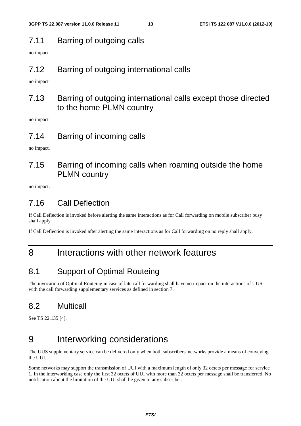### 7.11 Barring of outgoing calls

no impact

### 7.12 Barring of outgoing international calls

no impact

### 7.13 Barring of outgoing international calls except those directed to the home PLMN country

no impact

#### 7.14 Barring of incoming calls

no impact.

## 7.15 Barring of incoming calls when roaming outside the home PLMN country

no impact.

### 7.16 Call Deflection

If Call Deflection is invoked before alerting the same interactions as for Call forwarding on mobile subscriber busy shall apply.

If Call Deflection is invoked after alerting the same interactions as for Call forwarding on no reply shall apply.

## 8 Interactions with other network features

## 8.1 Support of Optimal Routeing

The invocation of Optimal Routeing in case of late call forwarding shall have no impact on the interactions of UUS with the call forwarding supplementary services as defined in section 7.

## 8.2 Multicall

See TS 22.135 [4].

## 9 Interworking considerations

The UUS supplementary service can be delivered only when both subscribers' networks provide a means of conveying the UUI.

Some networks may support the transmission of UUI with a maximum length of only 32 octets per message for service 1. In the interworking case only the first 32 octets of UUI with more than 32 octets per message shall be transferred. No notification about the limitation of the UUI shall be given to any subscriber.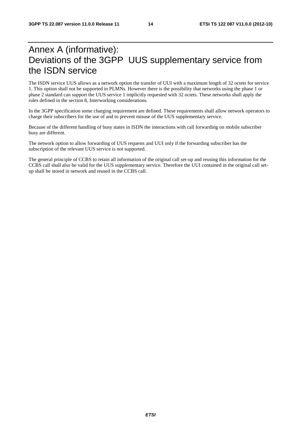## Annex A (informative): Deviations of the 3GPP UUS supplementary service from the ISDN service

The ISDN service UUS allows as a network option the transfer of UUI with a maximum length of 32 octets for service 1. This option shall not be supported in PLMNs. However there is the possibility that networks using the phase 1 or phase 2 standard can support the UUS service 1 implicitly requested with 32 octets. These networks shall apply the rules defined in the section 8, Interworking considerations.

In the 3GPP specification some charging requirement are defined. These requirements shall allow network operators to charge their subscribers for the use of and to prevent misuse of the UUS supplementary service.

Because of the different handling of busy states in ISDN the interactions with call forwarding on mobile subscriber busy are different.

The network option to allow forwarding of UUS requests and UUI only if the forwarding subscriber has the subscription of the relevant UUS service is not supported.

The general principle of CCBS to retain all information of the original call set-up and reusing this information for the CCBS call shall also be valid for the UUS supplementary service. Therefore the UUI contained in the original call setup shall be stored in network and reused in the CCBS call.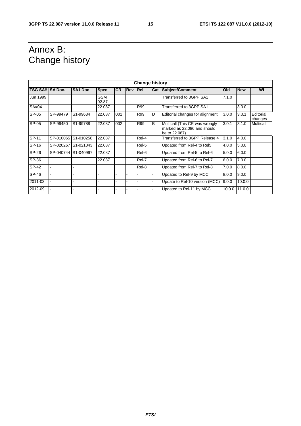## Annex B: Change history

| <b>Change history</b> |           |                     |                     |           |                |       |                |                                                                                |        |            |                      |
|-----------------------|-----------|---------------------|---------------------|-----------|----------------|-------|----------------|--------------------------------------------------------------------------------|--------|------------|----------------------|
| TSG SA# SA Doc.       |           | SA <sub>1</sub> Doc | <b>Spec</b>         | <b>CR</b> | <b>Rev Rel</b> |       | Cat            | Subject/Comment                                                                | Old    | <b>New</b> | WI                   |
| Jun 1999              |           |                     | <b>GSM</b><br>02.87 |           |                |       |                | Transferred to 3GPP SA1                                                        | 7.1.0  |            |                      |
| SA#04                 |           |                     | 22.087              |           |                | R99   |                | Transferred to 3GPP SA1                                                        |        | 3.0.0      |                      |
| SP-05                 | SP-99479  | S1-99634            | 22.087              | 001       |                | R99   | D              | Editorial changes for alignment                                                | 3.0.0  | 3.0.1      | Editorial<br>changes |
| SP-05                 | SP-99450  | S1-99788            | 22.087              | 002       |                | R99   | $\overline{B}$ | Multicall (This CR was wrongly<br>marked as 22,086 and should<br>be to 22,087) | 3.0.1  | 3.1.0      | Multicall            |
| SP-11                 | SP-010065 | S1-010258           | 22.087              |           |                | Rel-4 |                | Transferred to 3GPP Release 4                                                  | 3.1.0  | 4.0.0      |                      |
| SP-16                 | SP-020267 | S1-021043           | 22.087              |           |                | Rel-5 |                | Updated from Rel-4 to Rel5                                                     | 4.0.0  | 5.0.0      |                      |
| SP-26                 |           | SP-040744 S1-040997 | 22.087              |           |                | Rel-6 |                | Updated from Rel-5 to Rel-6                                                    | 5.0.0  | 6.0.0      |                      |
| SP-36                 |           |                     | 22.087              |           |                | Rel-7 |                | Updated from Rel-6 to Rel-7                                                    | 6.0.0  | 7.0.0      |                      |
| SP-42                 |           |                     |                     |           |                | Rel-8 |                | Updated from Rel-7 to Rel-8                                                    | 7.0.0  | 8.0.0      |                      |
| SP-46                 |           |                     |                     |           |                |       |                | Updated to Rel-9 by MCC                                                        | 8.0.0  | 9.0.0      |                      |
| 2011-03               |           |                     |                     |           |                |       |                | Update to Rel-10 version (MCC)                                                 | 9.0.0  | 10.0.0     |                      |
| 2012-09               |           |                     |                     |           |                |       |                | Updated to Rel-11 by MCC                                                       | 10.0.0 | 11.0.0     |                      |